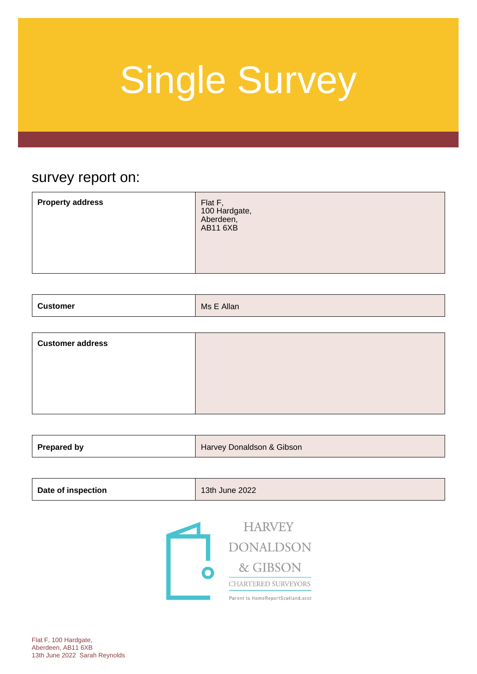### survey report on:

| <b>Property address</b><br>Flat F,<br>100 Hardgate,<br>Aberdeen,<br><b>AB11 6XB</b> |
|-------------------------------------------------------------------------------------|
|-------------------------------------------------------------------------------------|

| <b>Customer</b> | Allan   |
|-----------------|---------|
| .               | $M$ s F |

| <b>Customer address</b> |  |
|-------------------------|--|
|                         |  |
|                         |  |
|                         |  |

| <b>Prepared by</b> | Harvey Donaldson & Gibson |
|--------------------|---------------------------|
|                    |                           |

| <b>Date of inspection</b> | 13th June 2022 |
|---------------------------|----------------|
|---------------------------|----------------|



**HARVEY DONALDSON** & GIBSON CHARTERED SURVEYORS Parent to HomeReportScotland.scot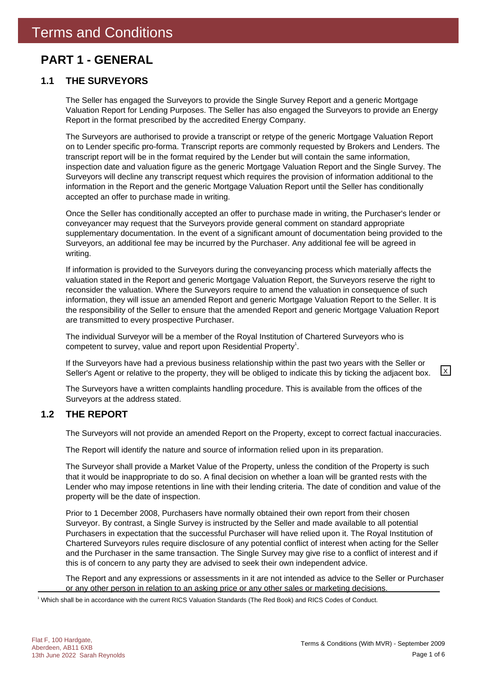### **PART 1 - GENERAL**

### **1.1 THE SURVEYORS**

The Seller has engaged the Surveyors to provide the Single Survey Report and a generic Mortgage Valuation Report for Lending Purposes. The Seller has also engaged the Surveyors to provide an Energy Report in the format prescribed by the accredited Energy Company.

The Surveyors are authorised to provide a transcript or retype of the generic Mortgage Valuation Report on to Lender specific pro-forma. Transcript reports are commonly requested by Brokers and Lenders. The transcript report will be in the format required by the Lender but will contain the same information, inspection date and valuation figure as the generic Mortgage Valuation Report and the Single Survey. The Surveyors will decline any transcript request which requires the provision of information additional to the information in the Report and the generic Mortgage Valuation Report until the Seller has conditionally accepted an offer to purchase made in writing.

Once the Seller has conditionally accepted an offer to purchase made in writing, the Purchaser's lender or conveyancer may request that the Surveyors provide general comment on standard appropriate supplementary documentation. In the event of a significant amount of documentation being provided to the Surveyors, an additional fee may be incurred by the Purchaser. Any additional fee will be agreed in writing.

If information is provided to the Surveyors during the conveyancing process which materially affects the valuation stated in the Report and generic Mortgage Valuation Report, the Surveyors reserve the right to reconsider the valuation. Where the Surveyors require to amend the valuation in consequence of such information, they will issue an amended Report and generic Mortgage Valuation Report to the Seller. It is the responsibility of the Seller to ensure that the amended Report and generic Mortgage Valuation Report are transmitted to every prospective Purchaser.

The individual Surveyor will be a member of the Royal Institution of Chartered Surveyors who is competent to survey, value and report upon Residential Property<sup>1</sup>.

If the Surveyors have had a previous business relationship within the past two years with the Seller or Seller's Agent or relative to the property, they will be obliged to indicate this by ticking the adjacent box.  $\boxed{\times}$ 

The Surveyors have a written complaints handling procedure. This is available from the offices of the Surveyors at the address stated.

### **1.2 THE REPORT**

The Surveyors will not provide an amended Report on the Property, except to correct factual inaccuracies.

The Report will identify the nature and source of information relied upon in its preparation.

The Surveyor shall provide a Market Value of the Property, unless the condition of the Property is such that it would be inappropriate to do so. A final decision on whether a loan will be granted rests with the Lender who may impose retentions in line with their lending criteria. The date of condition and value of the property will be the date of inspection.

Prior to 1 December 2008, Purchasers have normally obtained their own report from their chosen Surveyor. By contrast, a Single Survey is instructed by the Seller and made available to all potential Purchasers in expectation that the successful Purchaser will have relied upon it. The Royal Institution of Chartered Surveyors rules require disclosure of any potential conflict of interest when acting for the Seller and the Purchaser in the same transaction. The Single Survey may give rise to a conflict of interest and if this is of concern to any party they are advised to seek their own independent advice.

The Report and any expressions or assessments in it are not intended as advice to the Seller or Purchaser or any other person in relation to an asking price or any other sales or marketing decisions.

1 Which shall be in accordance with the current RICS Valuation Standards (The Red Book) and RICS Codes of Conduct.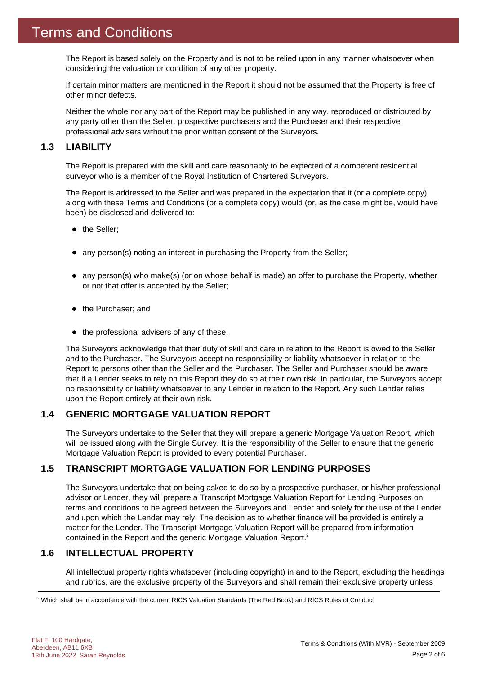The Report is based solely on the Property and is not to be relied upon in any manner whatsoever when considering the valuation or condition of any other property.

If certain minor matters are mentioned in the Report it should not be assumed that the Property is free of other minor defects.

Neither the whole nor any part of the Report may be published in any way, reproduced or distributed by any party other than the Seller, prospective purchasers and the Purchaser and their respective professional advisers without the prior written consent of the Surveyors.

### **1.3 LIABILITY**

The Report is prepared with the skill and care reasonably to be expected of a competent residential surveyor who is a member of the Royal Institution of Chartered Surveyors.

The Report is addressed to the Seller and was prepared in the expectation that it (or a complete copy) along with these Terms and Conditions (or a complete copy) would (or, as the case might be, would have been) be disclosed and delivered to:

- the Seller;
- any person(s) noting an interest in purchasing the Property from the Seller;
- any person(s) who make(s) (or on whose behalf is made) an offer to purchase the Property, whether or not that offer is accepted by the Seller;
- the Purchaser; and
- $\bullet$  the professional advisers of any of these.

The Surveyors acknowledge that their duty of skill and care in relation to the Report is owed to the Seller and to the Purchaser. The Surveyors accept no responsibility or liability whatsoever in relation to the Report to persons other than the Seller and the Purchaser. The Seller and Purchaser should be aware that if a Lender seeks to rely on this Report they do so at their own risk. In particular, the Surveyors accept no responsibility or liability whatsoever to any Lender in relation to the Report. Any such Lender relies upon the Report entirely at their own risk.

### **1.4 GENERIC MORTGAGE VALUATION REPORT**

The Surveyors undertake to the Seller that they will prepare a generic Mortgage Valuation Report, which will be issued along with the Single Survey. It is the responsibility of the Seller to ensure that the generic Mortgage Valuation Report is provided to every potential Purchaser.

### **1.5 TRANSCRIPT MORTGAGE VALUATION FOR LENDING PURPOSES**

The Surveyors undertake that on being asked to do so by a prospective purchaser, or his/her professional advisor or Lender, they will prepare a Transcript Mortgage Valuation Report for Lending Purposes on terms and conditions to be agreed between the Surveyors and Lender and solely for the use of the Lender and upon which the Lender may rely. The decision as to whether finance will be provided is entirely a matter for the Lender. The Transcript Mortgage Valuation Report will be prepared from information contained in the Report and the generic Mortgage Valuation Report.<sup>2</sup>

### **1.6 INTELLECTUAL PROPERTY**

All intellectual property rights whatsoever (including copyright) in and to the Report, excluding the headings and rubrics, are the exclusive property of the Surveyors and shall remain their exclusive property unless

 $^2$  Which shall be in accordance with the current RICS Valuation Standards (The Red Book) and RICS Rules of Conduct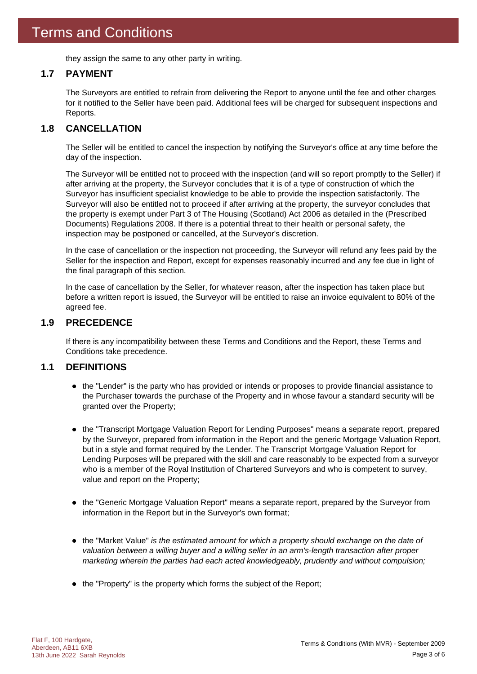they assign the same to any other party in writing.

### **1.7 PAYMENT**

The Surveyors are entitled to refrain from delivering the Report to anyone until the fee and other charges for it notified to the Seller have been paid. Additional fees will be charged for subsequent inspections and Reports.

### **1.8 CANCELLATION**

The Seller will be entitled to cancel the inspection by notifying the Surveyor's office at any time before the day of the inspection.

The Surveyor will be entitled not to proceed with the inspection (and will so report promptly to the Seller) if after arriving at the property, the Surveyor concludes that it is of a type of construction of which the Surveyor has insufficient specialist knowledge to be able to provide the inspection satisfactorily. The Surveyor will also be entitled not to proceed if after arriving at the property, the surveyor concludes that the property is exempt under Part 3 of The Housing (Scotland) Act 2006 as detailed in the (Prescribed Documents) Regulations 2008. If there is a potential threat to their health or personal safety, the inspection may be postponed or cancelled, at the Surveyor's discretion.

In the case of cancellation or the inspection not proceeding, the Surveyor will refund any fees paid by the Seller for the inspection and Report, except for expenses reasonably incurred and any fee due in light of the final paragraph of this section.

In the case of cancellation by the Seller, for whatever reason, after the inspection has taken place but before a written report is issued, the Surveyor will be entitled to raise an invoice equivalent to 80% of the agreed fee.

### **1.9 PRECEDENCE**

If there is any incompatibility between these Terms and Conditions and the Report, these Terms and Conditions take precedence.

### **1.1 DEFINITIONS**

- the "Lender" is the party who has provided or intends or proposes to provide financial assistance to the Purchaser towards the purchase of the Property and in whose favour a standard security will be granted over the Property;
- the "Transcript Mortgage Valuation Report for Lending Purposes" means a separate report, prepared by the Surveyor, prepared from information in the Report and the generic Mortgage Valuation Report, but in a style and format required by the Lender. The Transcript Mortgage Valuation Report for Lending Purposes will be prepared with the skill and care reasonably to be expected from a surveyor who is a member of the Royal Institution of Chartered Surveyors and who is competent to survey, value and report on the Property;
- the "Generic Mortgage Valuation Report" means a separate report, prepared by the Surveyor from information in the Report but in the Surveyor's own format;
- the "Market Value" *is the estimated amount for which a property should exchange on the date of valuation between a willing buyer and a willing seller in an arm's-length transaction after proper marketing wherein the parties had each acted knowledgeably, prudently and without compulsion;*
- the "Property" is the property which forms the subject of the Report;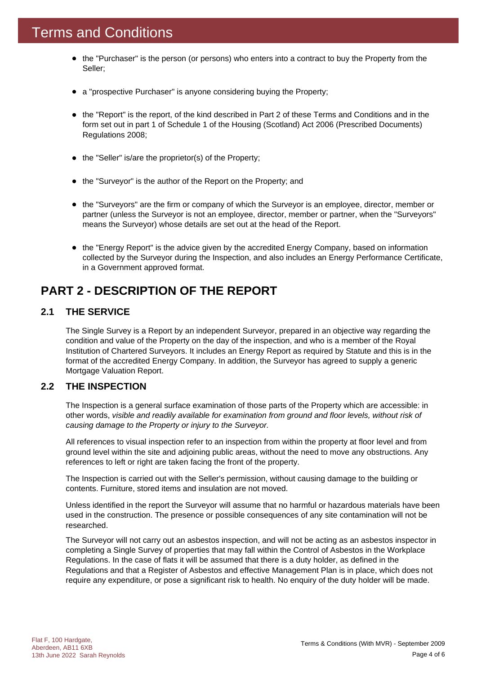- the "Purchaser" is the person (or persons) who enters into a contract to buy the Property from the Seller;
- a "prospective Purchaser" is anyone considering buying the Property;
- the "Report" is the report, of the kind described in Part 2 of these Terms and Conditions and in the form set out in part 1 of Schedule 1 of the Housing (Scotland) Act 2006 (Prescribed Documents) Regulations 2008;
- the "Seller" is/are the proprietor(s) of the Property;
- the "Surveyor" is the author of the Report on the Property; and
- the "Surveyors" are the firm or company of which the Surveyor is an employee, director, member or partner (unless the Surveyor is not an employee, director, member or partner, when the "Surveyors" means the Surveyor) whose details are set out at the head of the Report.
- the "Energy Report" is the advice given by the accredited Energy Company, based on information collected by the Surveyor during the Inspection, and also includes an Energy Performance Certificate, in a Government approved format.

### **PART 2 - DESCRIPTION OF THE REPORT**

### **2.1 THE SERVICE**

The Single Survey is a Report by an independent Surveyor, prepared in an objective way regarding the condition and value of the Property on the day of the inspection, and who is a member of the Royal Institution of Chartered Surveyors. It includes an Energy Report as required by Statute and this is in the format of the accredited Energy Company. In addition, the Surveyor has agreed to supply a generic Mortgage Valuation Report.

### **2.2 THE INSPECTION**

The Inspection is a general surface examination of those parts of the Property which are accessible: in other words, *visible and readily available for examination from ground and floor levels, without risk of causing damage to the Property or injury to the Surveyor.*

All references to visual inspection refer to an inspection from within the property at floor level and from ground level within the site and adjoining public areas, without the need to move any obstructions. Any references to left or right are taken facing the front of the property.

The Inspection is carried out with the Seller's permission, without causing damage to the building or contents. Furniture, stored items and insulation are not moved.

Unless identified in the report the Surveyor will assume that no harmful or hazardous materials have been used in the construction. The presence or possible consequences of any site contamination will not be researched.

The Surveyor will not carry out an asbestos inspection, and will not be acting as an asbestos inspector in completing a Single Survey of properties that may fall within the Control of Asbestos in the Workplace Regulations. In the case of flats it will be assumed that there is a duty holder, as defined in the Regulations and that a Register of Asbestos and effective Management Plan is in place, which does not require any expenditure, or pose a significant risk to health. No enquiry of the duty holder will be made.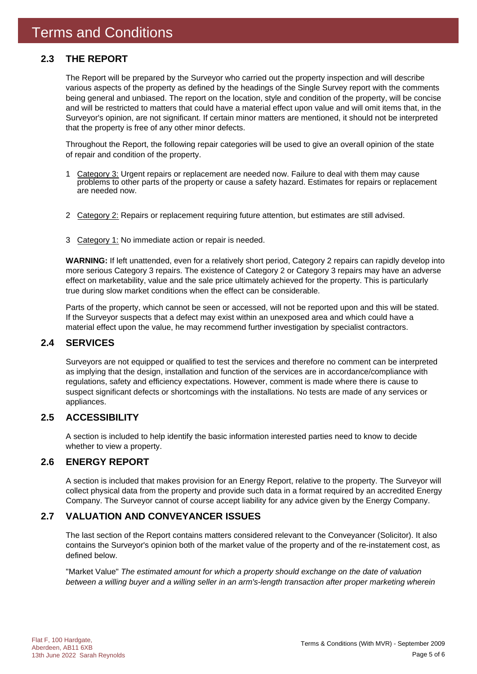### **2.3 THE REPORT**

The Report will be prepared by the Surveyor who carried out the property inspection and will describe various aspects of the property as defined by the headings of the Single Survey report with the comments being general and unbiased. The report on the location, style and condition of the property, will be concise and will be restricted to matters that could have a material effect upon value and will omit items that, in the Surveyor's opinion, are not significant. If certain minor matters are mentioned, it should not be interpreted that the property is free of any other minor defects.

Throughout the Report, the following repair categories will be used to give an overall opinion of the state of repair and condition of the property.

- 1 Category 3: Urgent repairs or replacement are needed now. Failure to deal with them may cause problems to other parts of the property or cause a safety hazard. Estimates for repairs or replacement are needed now.
- 2 Category 2: Repairs or replacement requiring future attention, but estimates are still advised.
- 3 Category 1: No immediate action or repair is needed.

**WARNING:** If left unattended, even for a relatively short period, Category 2 repairs can rapidly develop into more serious Category 3 repairs. The existence of Category 2 or Category 3 repairs may have an adverse effect on marketability, value and the sale price ultimately achieved for the property. This is particularly true during slow market conditions when the effect can be considerable.

Parts of the property, which cannot be seen or accessed, will not be reported upon and this will be stated. If the Surveyor suspects that a defect may exist within an unexposed area and which could have a material effect upon the value, he may recommend further investigation by specialist contractors.

### **2.4 SERVICES**

Surveyors are not equipped or qualified to test the services and therefore no comment can be interpreted as implying that the design, installation and function of the services are in accordance/compliance with regulations, safety and efficiency expectations. However, comment is made where there is cause to suspect significant defects or shortcomings with the installations. No tests are made of any services or appliances.

### **2.5 ACCESSIBILITY**

A section is included to help identify the basic information interested parties need to know to decide whether to view a property.

### **2.6 ENERGY REPORT**

A section is included that makes provision for an Energy Report, relative to the property. The Surveyor will collect physical data from the property and provide such data in a format required by an accredited Energy Company. The Surveyor cannot of course accept liability for any advice given by the Energy Company.

### **2.7 VALUATION AND CONVEYANCER ISSUES**

The last section of the Report contains matters considered relevant to the Conveyancer (Solicitor). It also contains the Surveyor's opinion both of the market value of the property and of the re-instatement cost, as defined below.

"Market Value" *The estimated amount for which a property should exchange on the date of valuation between a willing buyer and a willing seller in an arm's-length transaction after proper marketing wherein*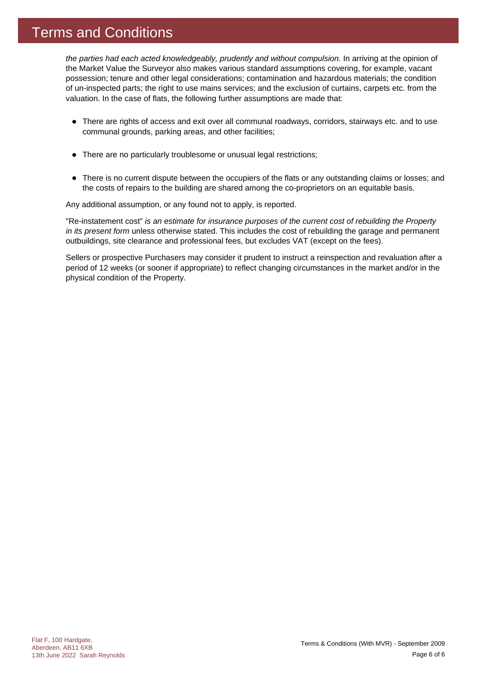### Terms and Conditions

*the parties had each acted knowledgeably, prudently and without compulsion.* In arriving at the opinion of the Market Value the Surveyor also makes various standard assumptions covering, for example, vacant possession; tenure and other legal considerations; contamination and hazardous materials; the condition of un-inspected parts; the right to use mains services; and the exclusion of curtains, carpets etc. from the valuation. In the case of flats, the following further assumptions are made that:

- There are rights of access and exit over all communal roadways, corridors, stairways etc. and to use communal grounds, parking areas, and other facilities;
- There are no particularly troublesome or unusual legal restrictions;
- There is no current dispute between the occupiers of the flats or any outstanding claims or losses; and the costs of repairs to the building are shared among the co-proprietors on an equitable basis.

Any additional assumption, or any found not to apply, is reported.

"Re-instatement cost" *is an estimate for insurance purposes of the current cost of rebuilding the Property in its present form* unless otherwise stated. This includes the cost of rebuilding the garage and permanent outbuildings, site clearance and professional fees, but excludes VAT (except on the fees).

Sellers or prospective Purchasers may consider it prudent to instruct a reinspection and revaluation after a period of 12 weeks (or sooner if appropriate) to reflect changing circumstances in the market and/or in the physical condition of the Property.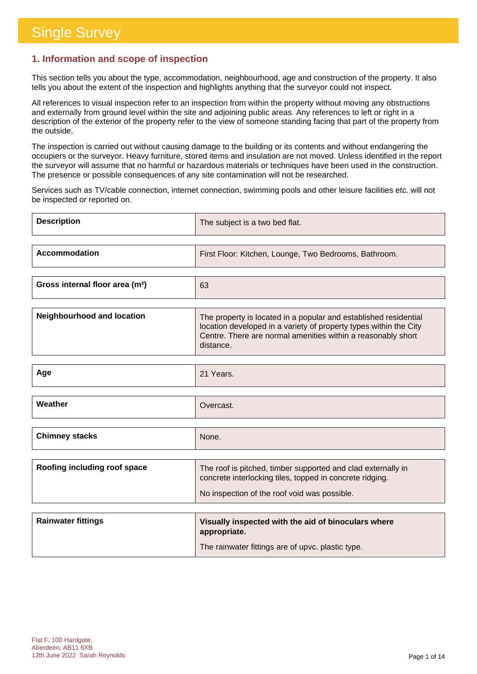### **1. Information and scope of inspection**

This section tells you about the type, accommodation, neighbourhood, age and construction of the property. It also tells you about the extent of the inspection and highlights anything that the surveyor could not inspect.

All references to visual inspection refer to an inspection from within the property without moving any obstructions and externally from ground level within the site and adjoining public areas. Any references to left or right in a description of the exterior of the property refer to the view of someone standing facing that part of the property from the outside.

The inspection is carried out without causing damage to the building or its contents and without endangering the occupiers or the surveyor. Heavy furniture, stored items and insulation are not moved. Unless identified in the report the surveyor will assume that no harmful or hazardous materials or techniques have been used in the construction. The presence or possible consequences of any site contamination will not be researched.

Services such as TV/cable connection, internet connection, swimming pools and other leisure facilities etc. will not be inspected or reported on.

| <b>Description</b>   | The subject is a two bed flat.                        |
|----------------------|-------------------------------------------------------|
| <b>Accommodation</b> | First Floor: Kitchen, Lounge, Two Bedrooms, Bathroom. |
|                      |                                                       |

| Gross internal floor area (m <sup>2</sup> )<br>63 |  |
|---------------------------------------------------|--|
|---------------------------------------------------|--|

| Neighbourhood and location | The property is located in a popular and established residential                                                                               |
|----------------------------|------------------------------------------------------------------------------------------------------------------------------------------------|
|                            | location developed in a variety of property types within the City<br>Centre. There are normal amenities within a reasonably short<br>distance. |

| Age                   | 21 Years. |
|-----------------------|-----------|
|                       |           |
| Weather               | Overcast. |
|                       |           |
| <b>Chimney stacks</b> | None.     |

| Roofing including roof space | The roof is pitched, timber supported and clad externally in<br>concrete interlocking tiles, topped in concrete ridging. |
|------------------------------|--------------------------------------------------------------------------------------------------------------------------|
|                              | No inspection of the roof void was possible.                                                                             |

| <b>Rainwater fittings</b> | Visually inspected with the aid of binoculars where<br>appropriate. |
|---------------------------|---------------------------------------------------------------------|
|                           | The rainwater fittings are of upvc. plastic type.                   |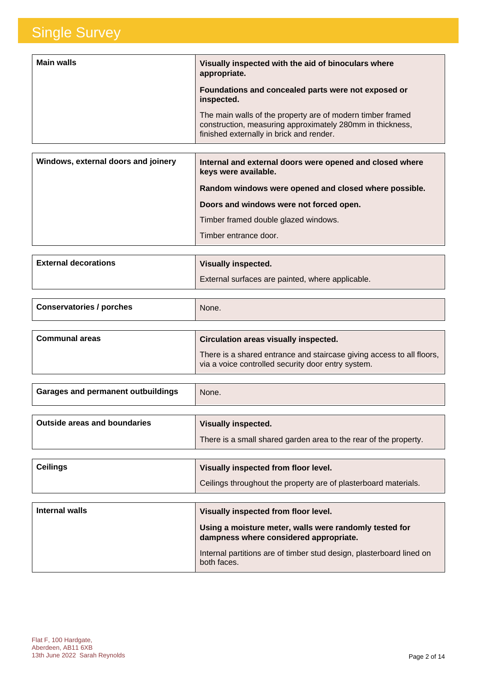| <b>Main walls</b> | Visually inspected with the aid of binoculars where<br>appropriate.                                                                                                 |
|-------------------|---------------------------------------------------------------------------------------------------------------------------------------------------------------------|
|                   | Foundations and concealed parts were not exposed or<br>inspected.                                                                                                   |
|                   | The main walls of the property are of modern timber framed<br>construction, measuring approximately 280mm in thickness,<br>finished externally in brick and render. |

| Internal and external doors were opened and closed where<br>keys were available. |
|----------------------------------------------------------------------------------|
| Random windows were opened and closed where possible.                            |
| Doors and windows were not forced open.                                          |
| Timber framed double glazed windows.                                             |
| Timber entrance door.                                                            |
|                                                                                  |

| <b>External decorations</b> | <b>Visually inspected.</b>                       |
|-----------------------------|--------------------------------------------------|
|                             | External surfaces are painted, where applicable. |

| <b>Conservatories / porches</b> | None.                                                                                                                       |
|---------------------------------|-----------------------------------------------------------------------------------------------------------------------------|
|                                 |                                                                                                                             |
| <b>Communal areas</b>           | Circulation areas visually inspected.                                                                                       |
|                                 | There is a shared entrance and staircase giving access to all floors,<br>via a voice controlled security door entry system. |

| <b>Garages and permanent outbuildings</b> | None. |
|-------------------------------------------|-------|
|                                           |       |

| <b>Outside areas and boundaries</b> | Visually inspected.                                              |
|-------------------------------------|------------------------------------------------------------------|
|                                     | There is a small shared garden area to the rear of the property. |

| <b>Ceilings</b> | Visually inspected from floor level.                            |
|-----------------|-----------------------------------------------------------------|
|                 | Ceilings throughout the property are of plasterboard materials. |

| Internal walls | Visually inspected from floor level.                                                             |
|----------------|--------------------------------------------------------------------------------------------------|
|                | Using a moisture meter, walls were randomly tested for<br>dampness where considered appropriate. |
|                | Internal partitions are of timber stud design, plasterboard lined on<br>both faces.              |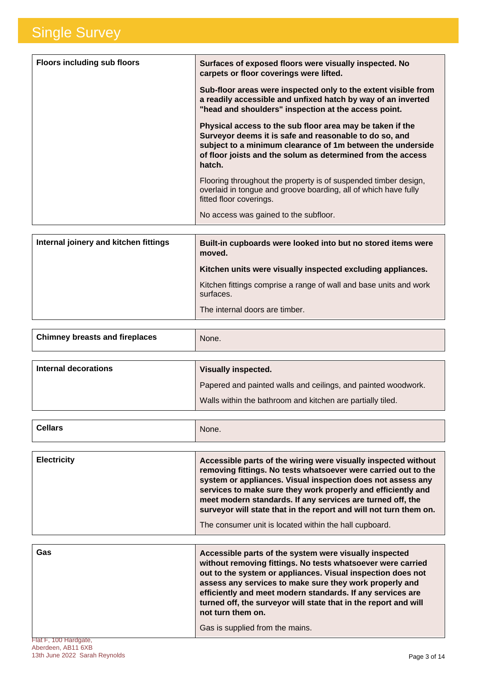| <b>Floors including sub floors</b> | Surfaces of exposed floors were visually inspected. No<br>carpets or floor coverings were lifted.                                                                                                                                                          |
|------------------------------------|------------------------------------------------------------------------------------------------------------------------------------------------------------------------------------------------------------------------------------------------------------|
|                                    | Sub-floor areas were inspected only to the extent visible from<br>a readily accessible and unfixed hatch by way of an inverted<br>"head and shoulders" inspection at the access point.                                                                     |
|                                    | Physical access to the sub floor area may be taken if the<br>Surveyor deems it is safe and reasonable to do so, and<br>subject to a minimum clearance of 1m between the underside<br>of floor joists and the solum as determined from the access<br>hatch. |
|                                    | Flooring throughout the property is of suspended timber design,<br>overlaid in tongue and groove boarding, all of which have fully<br>fitted floor coverings.<br>No access was gained to the subfloor.                                                     |

| Internal joinery and kitchen fittings | Built-in cupboards were looked into but no stored items were<br>moved.         |
|---------------------------------------|--------------------------------------------------------------------------------|
|                                       | Kitchen units were visually inspected excluding appliances.                    |
|                                       | Kitchen fittings comprise a range of wall and base units and work<br>surfaces. |
|                                       | The internal doors are timber.                                                 |

| <b>Chimney breasts and fireplaces</b> | None. |
|---------------------------------------|-------|
|                                       |       |

| Internal decorations | <b>Visually inspected.</b>                                    |
|----------------------|---------------------------------------------------------------|
|                      | Papered and painted walls and ceilings, and painted woodwork. |
|                      | Walls within the bathroom and kitchen are partially tiled.    |

|  | <b>Cellars</b><br>None. |
|--|-------------------------|
|--|-------------------------|

| <b>Electricity</b> | Accessible parts of the wiring were visually inspected without<br>removing fittings. No tests whatsoever were carried out to the<br>system or appliances. Visual inspection does not assess any<br>services to make sure they work properly and efficiently and<br>meet modern standards. If any services are turned off, the<br>surveyor will state that in the report and will not turn them on. |
|--------------------|----------------------------------------------------------------------------------------------------------------------------------------------------------------------------------------------------------------------------------------------------------------------------------------------------------------------------------------------------------------------------------------------------|
|                    | The consumer unit is located within the hall cupboard.                                                                                                                                                                                                                                                                                                                                             |

| Gas | Accessible parts of the system were visually inspected<br>without removing fittings. No tests whatsoever were carried<br>out to the system or appliances. Visual inspection does not<br>assess any services to make sure they work properly and<br>efficiently and meet modern standards. If any services are<br>turned off, the surveyor will state that in the report and will<br>not turn them on. |
|-----|-------------------------------------------------------------------------------------------------------------------------------------------------------------------------------------------------------------------------------------------------------------------------------------------------------------------------------------------------------------------------------------------------------|
|     | Gas is supplied from the mains.                                                                                                                                                                                                                                                                                                                                                                       |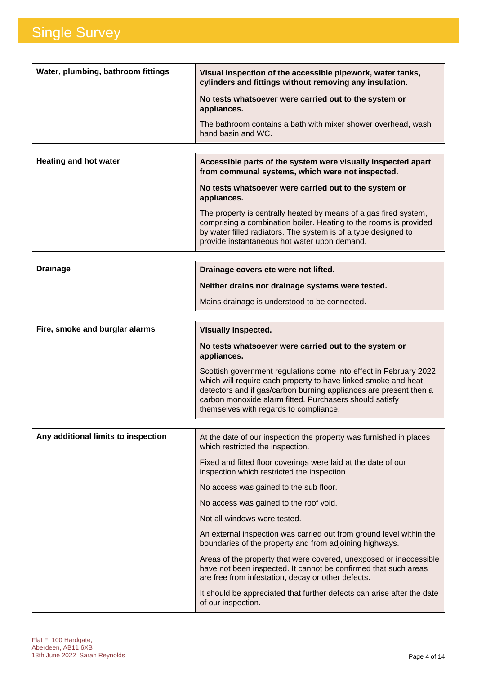| Water, plumbing, bathroom fittings | Visual inspection of the accessible pipework, water tanks,<br>cylinders and fittings without removing any insulation. |
|------------------------------------|-----------------------------------------------------------------------------------------------------------------------|
|                                    | No tests whatsoever were carried out to the system or<br>appliances.                                                  |
|                                    | The bathroom contains a bath with mixer shower overhead, wash<br>hand basin and WC.                                   |
|                                    |                                                                                                                       |

| <b>Heating and hot water</b> | Accessible parts of the system were visually inspected apart<br>from communal systems, which were not inspected.                                                                                                                                        |
|------------------------------|---------------------------------------------------------------------------------------------------------------------------------------------------------------------------------------------------------------------------------------------------------|
|                              | No tests whatsoever were carried out to the system or<br>appliances.                                                                                                                                                                                    |
|                              | The property is centrally heated by means of a gas fired system,<br>comprising a combination boiler. Heating to the rooms is provided<br>by water filled radiators. The system is of a type designed to<br>provide instantaneous hot water upon demand. |

| <b>Drainage</b> | Drainage covers etc were not lifted.             |
|-----------------|--------------------------------------------------|
|                 | Neither drains nor drainage systems were tested. |
|                 | Mains drainage is understood to be connected.    |

| Fire, smoke and burglar alarms | <b>Visually inspected.</b>                                                                                                                                                                                                                                                                                    |
|--------------------------------|---------------------------------------------------------------------------------------------------------------------------------------------------------------------------------------------------------------------------------------------------------------------------------------------------------------|
|                                | No tests whatsoever were carried out to the system or<br>appliances.                                                                                                                                                                                                                                          |
|                                | Scottish government regulations come into effect in February 2022<br>which will require each property to have linked smoke and heat<br>detectors and if gas/carbon burning appliances are present then a<br>carbon monoxide alarm fitted. Purchasers should satisfy<br>themselves with regards to compliance. |

| Any additional limits to inspection | At the date of our inspection the property was furnished in places<br>which restricted the inspection.                                                                                      |
|-------------------------------------|---------------------------------------------------------------------------------------------------------------------------------------------------------------------------------------------|
|                                     | Fixed and fitted floor coverings were laid at the date of our<br>inspection which restricted the inspection.                                                                                |
|                                     | No access was gained to the sub floor.                                                                                                                                                      |
|                                     | No access was gained to the roof void.                                                                                                                                                      |
|                                     | Not all windows were tested.                                                                                                                                                                |
|                                     | An external inspection was carried out from ground level within the<br>boundaries of the property and from adjoining highways.                                                              |
|                                     | Areas of the property that were covered, unexposed or inaccessible<br>have not been inspected. It cannot be confirmed that such areas<br>are free from infestation, decay or other defects. |
|                                     | It should be appreciated that further defects can arise after the date<br>of our inspection.                                                                                                |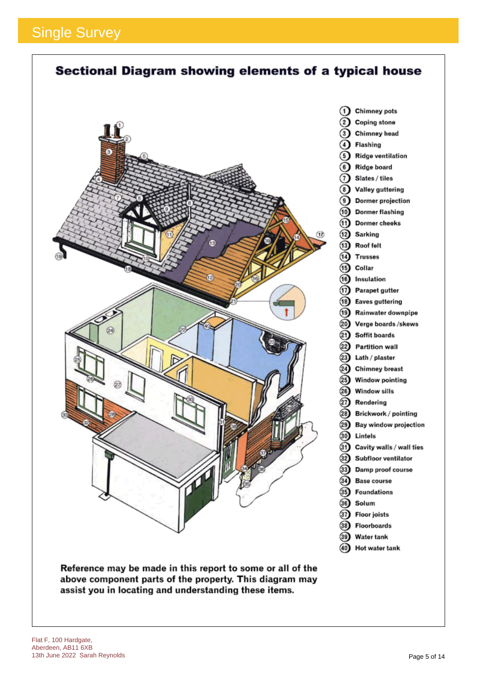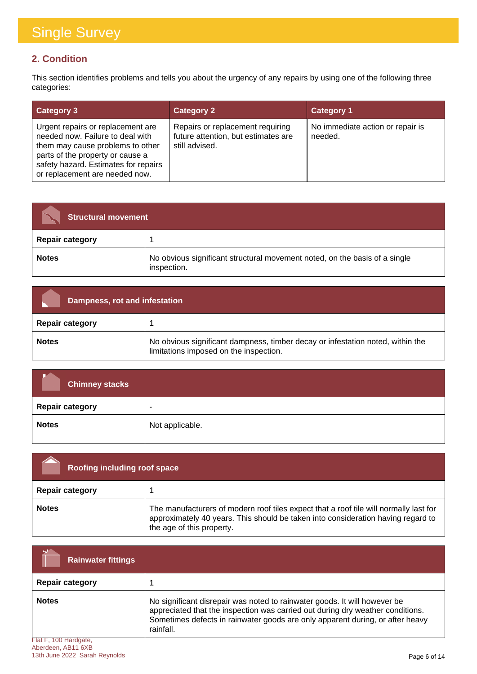### **2. Condition**

This section identifies problems and tells you about the urgency of any repairs by using one of the following three categories:

| <b>Category 3</b>                                                                                                                                                                                                       | <b>Category 2</b>                                                                         | <b>Category 1</b>                           |
|-------------------------------------------------------------------------------------------------------------------------------------------------------------------------------------------------------------------------|-------------------------------------------------------------------------------------------|---------------------------------------------|
| Urgent repairs or replacement are<br>needed now. Failure to deal with<br>them may cause problems to other<br>parts of the property or cause a<br>safety hazard. Estimates for repairs<br>or replacement are needed now. | Repairs or replacement requiring<br>future attention, but estimates are<br>still advised. | No immediate action or repair is<br>needed. |

| <b>Structural movement</b> |                                                                                           |
|----------------------------|-------------------------------------------------------------------------------------------|
| <b>Repair category</b>     |                                                                                           |
| <b>Notes</b>               | No obvious significant structural movement noted, on the basis of a single<br>inspection. |

| Dampness, rot and infestation |                                                                                                                          |
|-------------------------------|--------------------------------------------------------------------------------------------------------------------------|
| <b>Repair category</b>        |                                                                                                                          |
| <b>Notes</b>                  | No obvious significant dampness, timber decay or infestation noted, within the<br>limitations imposed on the inspection. |

| <b>Chimney stacks</b>  |                          |
|------------------------|--------------------------|
| <b>Repair category</b> | $\overline{\phantom{a}}$ |
| <b>Notes</b>           | Not applicable.          |

| <b>Roofing including roof space</b> |                                                                                                                                                                                                        |
|-------------------------------------|--------------------------------------------------------------------------------------------------------------------------------------------------------------------------------------------------------|
| <b>Repair category</b>              |                                                                                                                                                                                                        |
| <b>Notes</b>                        | The manufacturers of modern roof tiles expect that a roof tile will normally last for<br>approximately 40 years. This should be taken into consideration having regard to<br>the age of this property. |

| <b>Rainwater fittings</b>                  |                                                                                                                                                                                                                                                           |
|--------------------------------------------|-----------------------------------------------------------------------------------------------------------------------------------------------------------------------------------------------------------------------------------------------------------|
| <b>Repair category</b>                     |                                                                                                                                                                                                                                                           |
| <b>Notes</b>                               | No significant disrepair was noted to rainwater goods. It will however be<br>appreciated that the inspection was carried out during dry weather conditions.<br>Sometimes defects in rainwater goods are only apparent during, or after heavy<br>rainfall. |
| Flat F, 100 Hardgate,<br>Abordoon AD44 CVD |                                                                                                                                                                                                                                                           |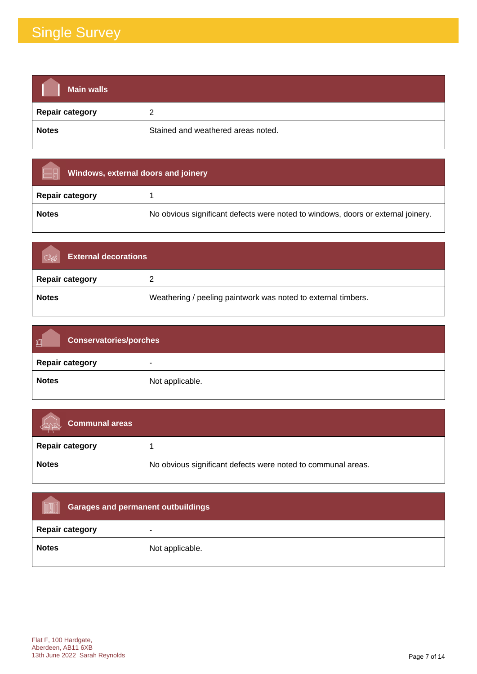| <b>Main walls</b>      |                                    |
|------------------------|------------------------------------|
| <b>Repair category</b> | 2                                  |
| <b>Notes</b>           | Stained and weathered areas noted. |

| Windows, external doors and joinery |                                                                                  |
|-------------------------------------|----------------------------------------------------------------------------------|
| <b>Repair category</b>              |                                                                                  |
| <b>Notes</b>                        | No obvious significant defects were noted to windows, doors or external joinery. |

| <b>External decorations</b> |                                                               |
|-----------------------------|---------------------------------------------------------------|
| <b>Repair category</b>      | ົ                                                             |
| <b>Notes</b>                | Weathering / peeling paintwork was noted to external timbers. |

| 画<br><b>Conservatories/porches</b> |                 |
|------------------------------------|-----------------|
| <b>Repair category</b>             | ٠               |
| <b>Notes</b>                       | Not applicable. |

| Communal areas         |                                                              |
|------------------------|--------------------------------------------------------------|
| <b>Repair category</b> |                                                              |
| <b>Notes</b>           | No obvious significant defects were noted to communal areas. |

| Garages and permanent outbuildings |                          |
|------------------------------------|--------------------------|
| <b>Repair category</b>             | $\overline{\phantom{a}}$ |
| <b>Notes</b>                       | Not applicable.          |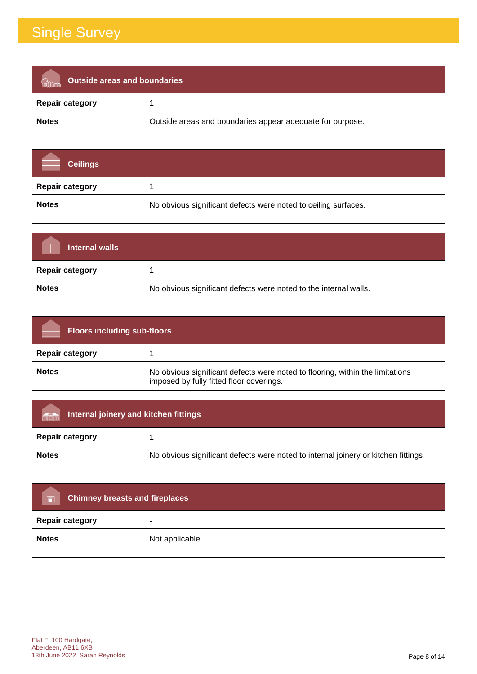| Outside areas and boundaries |                                                           |
|------------------------------|-----------------------------------------------------------|
| <b>Repair category</b>       |                                                           |
| <b>Notes</b>                 | Outside areas and boundaries appear adequate for purpose. |

| <b>Ceilings</b>        |                                                                |
|------------------------|----------------------------------------------------------------|
| <b>Repair category</b> |                                                                |
| <b>Notes</b>           | No obvious significant defects were noted to ceiling surfaces. |

| Internal walls         |                                                                  |
|------------------------|------------------------------------------------------------------|
| <b>Repair category</b> |                                                                  |
| <b>Notes</b>           | No obvious significant defects were noted to the internal walls. |

| <b>Floors including sub-floors</b> |                                                                                                                           |
|------------------------------------|---------------------------------------------------------------------------------------------------------------------------|
| <b>Repair category</b>             |                                                                                                                           |
| <b>Notes</b>                       | No obvious significant defects were noted to flooring, within the limitations<br>imposed by fully fitted floor coverings. |

| Internal joinery and kitchen fittings<br>mär |                                                                                    |
|----------------------------------------------|------------------------------------------------------------------------------------|
| <b>Repair category</b>                       |                                                                                    |
| <b>Notes</b>                                 | No obvious significant defects were noted to internal joinery or kitchen fittings. |

| <b>Chimney breasts and fireplaces</b><br>$\Box$ |                 |
|-------------------------------------------------|-----------------|
| <b>Repair category</b>                          | -               |
| <b>Notes</b>                                    | Not applicable. |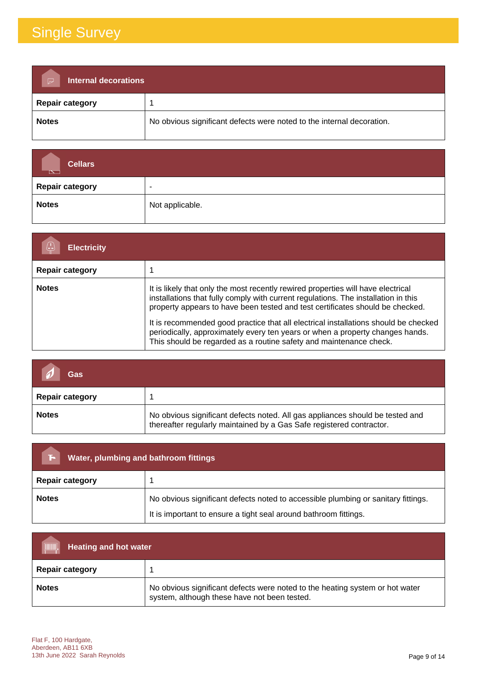| <b>Internal decorations</b><br>$\triangleright$ |                                                                       |
|-------------------------------------------------|-----------------------------------------------------------------------|
| <b>Repair category</b>                          |                                                                       |
| <b>Notes</b>                                    | No obvious significant defects were noted to the internal decoration. |

| <b>Cellars</b><br>$\overline{\mathbb{R}}$ |                          |
|-------------------------------------------|--------------------------|
| <b>Repair category</b>                    | $\overline{\phantom{a}}$ |
| <b>Notes</b>                              | Not applicable.          |

| <b>Electricity</b>     |                                                                                                                                                                                                                                                                                                                                                                                                                                                                                                       |
|------------------------|-------------------------------------------------------------------------------------------------------------------------------------------------------------------------------------------------------------------------------------------------------------------------------------------------------------------------------------------------------------------------------------------------------------------------------------------------------------------------------------------------------|
| <b>Repair category</b> |                                                                                                                                                                                                                                                                                                                                                                                                                                                                                                       |
| <b>Notes</b>           | It is likely that only the most recently rewired properties will have electrical<br>installations that fully comply with current regulations. The installation in this<br>property appears to have been tested and test certificates should be checked.<br>It is recommended good practice that all electrical installations should be checked<br>periodically, approximately every ten years or when a property changes hands.<br>This should be regarded as a routine safety and maintenance check. |

| Gas                    |                                                                                                                                                       |
|------------------------|-------------------------------------------------------------------------------------------------------------------------------------------------------|
| <b>Repair category</b> |                                                                                                                                                       |
| <b>Notes</b>           | No obvious significant defects noted. All gas appliances should be tested and<br>thereafter regularly maintained by a Gas Safe registered contractor. |

| Water, plumbing and bathroom fittings<br>ы                                                        |                                                                  |
|---------------------------------------------------------------------------------------------------|------------------------------------------------------------------|
| <b>Repair category</b>                                                                            |                                                                  |
| No obvious significant defects noted to accessible plumbing or sanitary fittings.<br><b>Notes</b> |                                                                  |
|                                                                                                   | It is important to ensure a tight seal around bathroom fittings. |

| <b>TITULU</b><br><b>Heating and hot water</b> |                                                                                                                              |
|-----------------------------------------------|------------------------------------------------------------------------------------------------------------------------------|
| <b>Repair category</b>                        |                                                                                                                              |
| <b>Notes</b>                                  | No obvious significant defects were noted to the heating system or hot water<br>system, although these have not been tested. |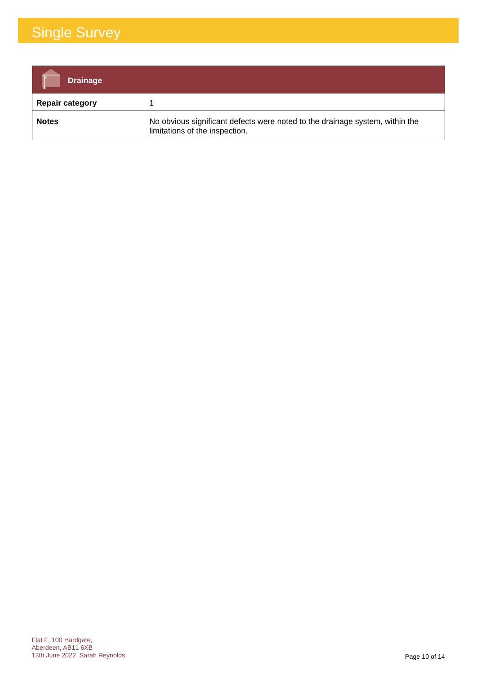| <b>Drainage</b>        |                                                                                                                |
|------------------------|----------------------------------------------------------------------------------------------------------------|
| <b>Repair category</b> |                                                                                                                |
| <b>Notes</b>           | No obvious significant defects were noted to the drainage system, within the<br>limitations of the inspection. |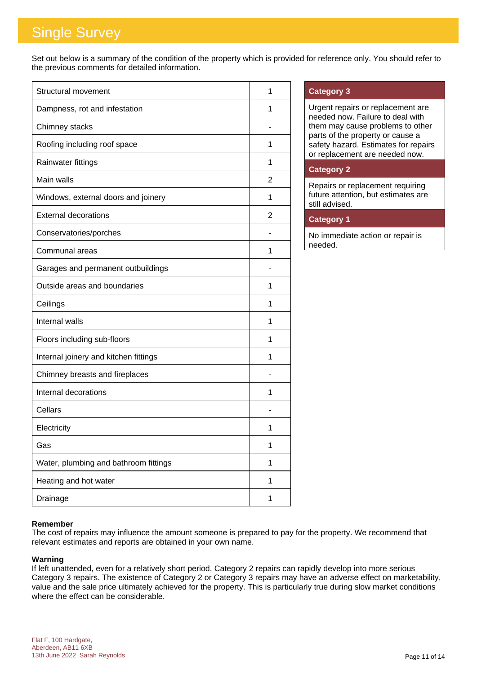Set out below is a summary of the condition of the property which is provided for reference only. You should refer to the previous comments for detailed information.

| Structural movement                   | 1 |
|---------------------------------------|---|
| Dampness, rot and infestation         | 1 |
| Chimney stacks                        |   |
| Roofing including roof space          | 1 |
| Rainwater fittings                    | 1 |
| Main walls                            | 2 |
| Windows, external doors and joinery   | 1 |
| <b>External decorations</b>           | 2 |
| Conservatories/porches                |   |
| Communal areas                        | 1 |
| Garages and permanent outbuildings    |   |
| Outside areas and boundaries          | 1 |
| Ceilings                              | 1 |
| Internal walls                        | 1 |
| Floors including sub-floors           | 1 |
| Internal joinery and kitchen fittings | 1 |
| Chimney breasts and fireplaces        |   |
| Internal decorations                  | 1 |
| Cellars                               |   |
| Electricity                           | 1 |
| Gas                                   | 1 |
| Water, plumbing and bathroom fittings | 1 |
| Heating and hot water                 | 1 |
| Drainage                              | 1 |

### **Category 3**

Urgent repairs or replacement are needed now. Failure to deal with them may cause problems to other parts of the property or cause a safety hazard. Estimates for repairs or replacement are needed now.

### **Category 2**

Repairs or replacement requiring future attention, but estimates are still advised.

### **Category 1**

No immediate action or repair is needed.

### **Remember**

The cost of repairs may influence the amount someone is prepared to pay for the property. We recommend that relevant estimates and reports are obtained in your own name.

#### **Warning**

If left unattended, even for a relatively short period, Category 2 repairs can rapidly develop into more serious Category 3 repairs. The existence of Category 2 or Category 3 repairs may have an adverse effect on marketability, value and the sale price ultimately achieved for the property. This is particularly true during slow market conditions where the effect can be considerable.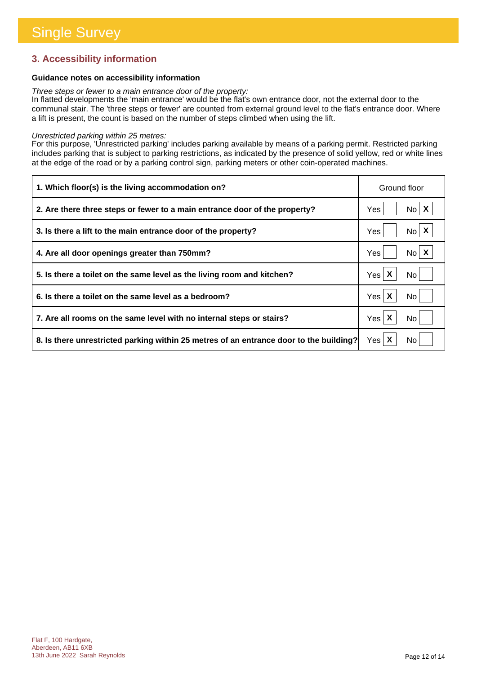### **3. Accessibility information**

### **Guidance notes on accessibility information**

*Three steps or fewer to a main entrance door of the property:*

In flatted developments the 'main entrance' would be the flat's own entrance door, not the external door to the communal stair. The 'three steps or fewer' are counted from external ground level to the flat's entrance door. Where a lift is present, the count is based on the number of steps climbed when using the lift.

#### *Unrestricted parking within 25 metres:*

For this purpose, 'Unrestricted parking' includes parking available by means of a parking permit. Restricted parking includes parking that is subject to parking restrictions, as indicated by the presence of solid yellow, red or white lines at the edge of the road or by a parking control sign, parking meters or other coin-operated machines.

| 1. Which floor(s) is the living accommodation on?                                      | Ground floor             |
|----------------------------------------------------------------------------------------|--------------------------|
| 2. Are there three steps or fewer to a main entrance door of the property?             | $No \mid X$<br>Yes       |
| 3. Is there a lift to the main entrance door of the property?                          | $N_0$ $X$<br>Yes         |
| 4. Are all door openings greater than 750mm?                                           | $No$ $X$<br>Yes          |
| 5. Is there a toilet on the same level as the living room and kitchen?                 | Yes $\mathsf{X}$<br>No l |
| 6. Is there a toilet on the same level as a bedroom?                                   | Yes $\mathsf{X}$<br>No.  |
| 7. Are all rooms on the same level with no internal steps or stairs?                   | Yes $\mathsf{X}$<br>No   |
| 8. Is there unrestricted parking within 25 metres of an entrance door to the building? | Yes $\mathsf{X}$<br>No.  |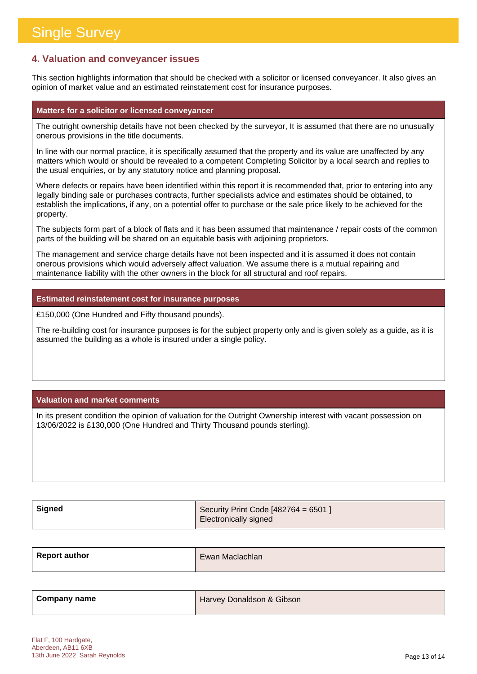### **4. Valuation and conveyancer issues**

This section highlights information that should be checked with a solicitor or licensed conveyancer. It also gives an opinion of market value and an estimated reinstatement cost for insurance purposes.

#### **Matters for a solicitor or licensed conveyancer**

The outright ownership details have not been checked by the surveyor, It is assumed that there are no unusually onerous provisions in the title documents.

In line with our normal practice, it is specifically assumed that the property and its value are unaffected by any matters which would or should be revealed to a competent Completing Solicitor by a local search and replies to the usual enquiries, or by any statutory notice and planning proposal.

Where defects or repairs have been identified within this report it is recommended that, prior to entering into any legally binding sale or purchases contracts, further specialists advice and estimates should be obtained, to establish the implications, if any, on a potential offer to purchase or the sale price likely to be achieved for the property.

The subjects form part of a block of flats and it has been assumed that maintenance / repair costs of the common parts of the building will be shared on an equitable basis with adjoining proprietors.

The management and service charge details have not been inspected and it is assumed it does not contain onerous provisions which would adversely affect valuation. We assume there is a mutual repairing and maintenance liability with the other owners in the block for all structural and roof repairs.

### **Estimated reinstatement cost for insurance purposes**

£150,000 (One Hundred and Fifty thousand pounds).

The re-building cost for insurance purposes is for the subject property only and is given solely as a guide, as it is assumed the building as a whole is insured under a single policy.

### **Valuation and market comments**

In its present condition the opinion of valuation for the Outright Ownership interest with vacant possession on 13/06/2022 is £130,000 (One Hundred and Thirty Thousand pounds sterling).

| Signed | Security Print Code [482764 = 6501 ] |
|--------|--------------------------------------|
|        | <b>Electronically signed</b>         |

| <b>Report author</b> | Ewan Maclachlan |
|----------------------|-----------------|
|                      |                 |

| Company name | Harvey Donaldson & Gibson |
|--------------|---------------------------|
|              |                           |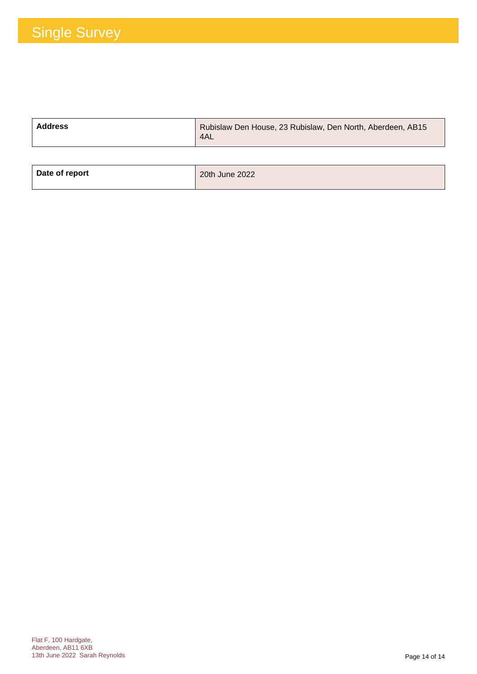| <b>Address</b> | Rubislaw Den House, 23 Rubislaw, Den North, Aberdeen, AB15<br>4AL |
|----------------|-------------------------------------------------------------------|
|                |                                                                   |

| Date of report | 20th June 2022 |
|----------------|----------------|
|                |                |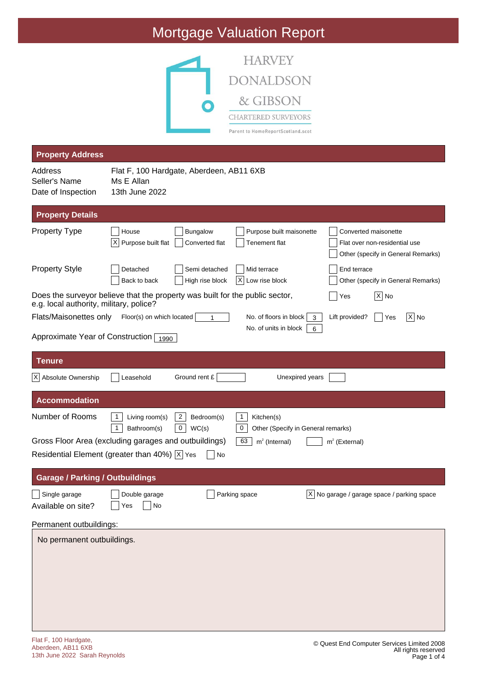### Mortgage Valuation Report



| <b>Property Address</b>                                                                                                 |                                                                          |                                            |                                                                                 |                   |                                                                                             |                     |
|-------------------------------------------------------------------------------------------------------------------------|--------------------------------------------------------------------------|--------------------------------------------|---------------------------------------------------------------------------------|-------------------|---------------------------------------------------------------------------------------------|---------------------|
| Address<br>Seller's Name<br>Date of Inspection                                                                          | Flat F, 100 Hardgate, Aberdeen, AB11 6XB<br>Ms E Allan<br>13th June 2022 |                                            |                                                                                 |                   |                                                                                             |                     |
| <b>Property Details</b>                                                                                                 |                                                                          |                                            |                                                                                 |                   |                                                                                             |                     |
| <b>Property Type</b>                                                                                                    | House<br>$\times$<br>Purpose built flat                                  | Bungalow<br>Converted flat                 | Purpose built maisonette<br><b>Tenement flat</b>                                |                   | Converted maisonette<br>Flat over non-residential use<br>Other (specify in General Remarks) |                     |
| <b>Property Style</b>                                                                                                   | Detached<br>Back to back                                                 | Semi detached<br>High rise block           | Mid terrace<br>Low rise block<br>IX.                                            |                   | End terrace<br>Other (specify in General Remarks)                                           |                     |
| Does the surveyor believe that the property was built for the public sector,<br>e.g. local authority, military, police? |                                                                          |                                            |                                                                                 |                   | $ X $ No<br>Yes                                                                             |                     |
| Flats/Maisonettes only                                                                                                  | Floor(s) on which located                                                |                                            | No. of floors in block<br>No. of units in block                                 | 3<br>6            | Lift provided?<br>Yes                                                                       | $ \overline{X} $ No |
| Approximate Year of Construction $\boxed{1990}$                                                                         |                                                                          |                                            |                                                                                 |                   |                                                                                             |                     |
| <b>Tenure</b>                                                                                                           |                                                                          |                                            |                                                                                 |                   |                                                                                             |                     |
| X Absolute Ownership                                                                                                    | Leasehold                                                                | Ground rent £                              | Unexpired years                                                                 |                   |                                                                                             |                     |
| <b>Accommodation</b>                                                                                                    |                                                                          |                                            |                                                                                 |                   |                                                                                             |                     |
| Number of Rooms                                                                                                         | -1<br>Living room(s)<br>Bathroom(s)<br>$\mathbf{1}$                      | $\overline{2}$<br>Bedroom(s)<br>0<br>WC(s) | $\mathbf{1}$<br>Kitchen(s)<br>$\mathbf 0$<br>Other (Specify in General remarks) |                   |                                                                                             |                     |
| Gross Floor Area (excluding garages and outbuildings)<br>Residential Element (greater than 40%) $ \overline{x} $ Yes    |                                                                          | No                                         | 63<br>$m2$ (Internal)                                                           |                   | $m2$ (External)                                                                             |                     |
|                                                                                                                         |                                                                          |                                            |                                                                                 |                   |                                                                                             |                     |
| <b>Garage / Parking / Outbuildings</b>                                                                                  |                                                                          |                                            |                                                                                 |                   |                                                                                             |                     |
| Single garage<br>Available on site?                                                                                     | Double garage<br>$\Box$ Yes<br>No                                        |                                            | Parking space                                                                   | $\vert$ X $\vert$ | No garage / garage space / parking space                                                    |                     |
| Permanent outbuildings:                                                                                                 |                                                                          |                                            |                                                                                 |                   |                                                                                             |                     |
| No permanent outbuildings.                                                                                              |                                                                          |                                            |                                                                                 |                   |                                                                                             |                     |
|                                                                                                                         |                                                                          |                                            |                                                                                 |                   |                                                                                             |                     |
|                                                                                                                         |                                                                          |                                            |                                                                                 |                   |                                                                                             |                     |

l.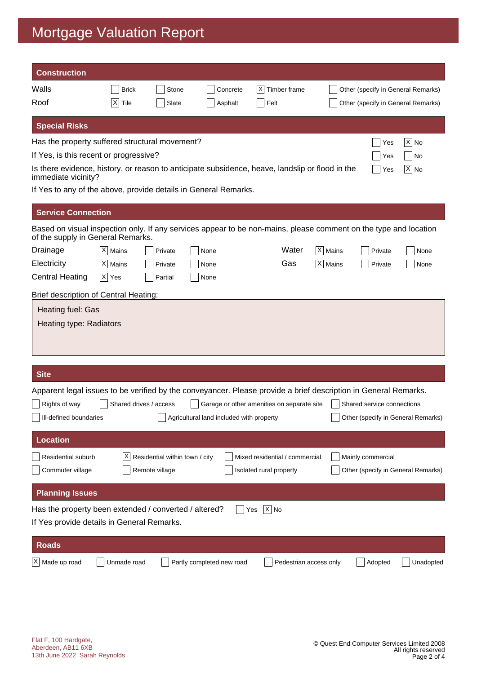### Mortgage Valuation Report

| <b>Construction</b>                                                                                                                                   |              |                                                  |                                          |                                                           |                      |                                    |                                    |
|-------------------------------------------------------------------------------------------------------------------------------------------------------|--------------|--------------------------------------------------|------------------------------------------|-----------------------------------------------------------|----------------------|------------------------------------|------------------------------------|
| Walls                                                                                                                                                 | <b>Brick</b> | Stone                                            | Concrete                                 | X <br>Timber frame                                        |                      | Other (specify in General Remarks) |                                    |
| Roof                                                                                                                                                  | X <br>Tile   | Slate                                            | Asphalt                                  | Felt                                                      |                      | Other (specify in General Remarks) |                                    |
| <b>Special Risks</b>                                                                                                                                  |              |                                                  |                                          |                                                           |                      |                                    |                                    |
| Has the property suffered structural movement?                                                                                                        |              |                                                  |                                          |                                                           |                      | Yes                                | $ \mathsf{X} $ No                  |
| If Yes, is this recent or progressive?                                                                                                                |              |                                                  |                                          |                                                           |                      | Yes                                | No                                 |
| Is there evidence, history, or reason to anticipate subsidence, heave, landslip or flood in the<br>immediate vicinity?                                |              |                                                  |                                          |                                                           |                      | Yes                                | $X $ No                            |
| If Yes to any of the above, provide details in General Remarks.                                                                                       |              |                                                  |                                          |                                                           |                      |                                    |                                    |
| <b>Service Connection</b>                                                                                                                             |              |                                                  |                                          |                                                           |                      |                                    |                                    |
| Based on visual inspection only. If any services appear to be non-mains, please comment on the type and location<br>of the supply in General Remarks. |              |                                                  |                                          |                                                           |                      |                                    |                                    |
| Drainage                                                                                                                                              | $ X $ Mains  | Private                                          | None                                     | Water                                                     | X   Mains            | Private                            | None                               |
| Electricity                                                                                                                                           | $ X $ Mains  | Private                                          | None                                     | Gas                                                       | $ \mathsf{X} $ Mains | Private                            | None                               |
| <b>Central Heating</b>                                                                                                                                | $ X $ Yes    | Partial                                          | None                                     |                                                           |                      |                                    |                                    |
| Brief description of Central Heating:                                                                                                                 |              |                                                  |                                          |                                                           |                      |                                    |                                    |
| Heating fuel: Gas<br>Heating type: Radiators                                                                                                          |              |                                                  |                                          |                                                           |                      |                                    |                                    |
| <b>Site</b>                                                                                                                                           |              |                                                  |                                          |                                                           |                      |                                    |                                    |
| Apparent legal issues to be verified by the conveyancer. Please provide a brief description in General Remarks.                                       |              |                                                  |                                          |                                                           |                      |                                    |                                    |
| Rights of way                                                                                                                                         |              | Shared drives / access                           |                                          | Garage or other amenities on separate site                |                      | Shared service connections         |                                    |
| Ill-defined boundaries                                                                                                                                |              |                                                  | Agricultural land included with property |                                                           |                      |                                    | Other (specify in General Remarks) |
| <b>Location</b>                                                                                                                                       |              |                                                  |                                          |                                                           |                      |                                    |                                    |
|                                                                                                                                                       |              |                                                  |                                          |                                                           |                      |                                    |                                    |
| Residential suburb<br>Commuter village                                                                                                                | ΧI           | Residential within town / city<br>Remote village |                                          | Mixed residential / commercial<br>Isolated rural property |                      | Mainly commercial                  | Other (specify in General Remarks) |
| <b>Planning Issues</b>                                                                                                                                |              |                                                  |                                          |                                                           |                      |                                    |                                    |
| Has the property been extended / converted / altered?                                                                                                 |              |                                                  |                                          | $\overline{X}$ No<br>Yes                                  |                      |                                    |                                    |
| If Yes provide details in General Remarks.                                                                                                            |              |                                                  |                                          |                                                           |                      |                                    |                                    |
| <b>Roads</b>                                                                                                                                          |              |                                                  |                                          |                                                           |                      |                                    |                                    |
| $X$ Made up road                                                                                                                                      | Unmade road  |                                                  | Partly completed new road                | Pedestrian access only                                    |                      | Adopted                            | Unadopted                          |
|                                                                                                                                                       |              |                                                  |                                          |                                                           |                      |                                    |                                    |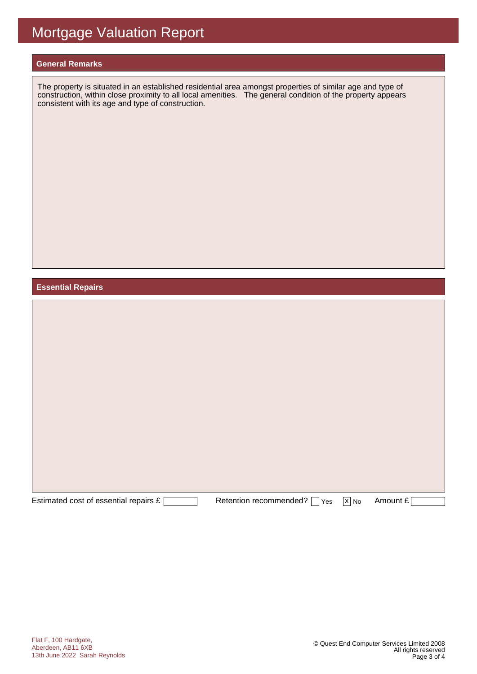#### **General Remarks**

The property is situated in an established residential area amongst properties of similar age and type of construction, within close proximity to all local amenities. The general condition of the property appears consistent with its age and type of construction.

#### **Essential Repairs**

| Estimated cost of essential repairs £ | Retention recommended?   Yes | $\boxed{X}$ No | Amount £ |
|---------------------------------------|------------------------------|----------------|----------|